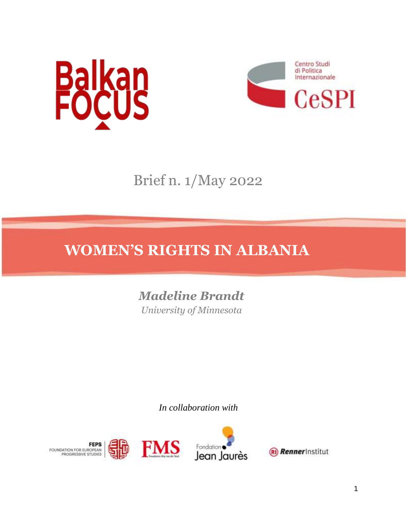



Brief n. 1/May 2022

# **WOMEN'S RIGHTS IN ALBANIA**

*Madeline Brandt University of Minnesota*

*In collaboration with* 



1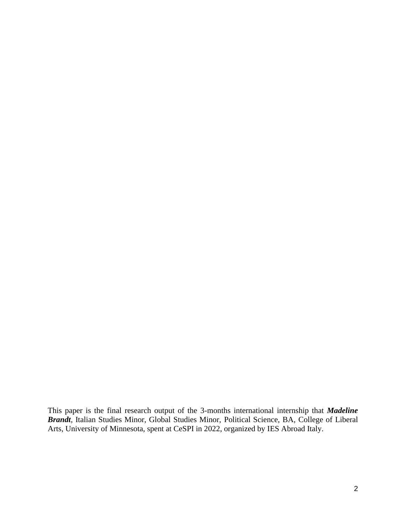This paper is the final research output of the 3-months international internship that *Madeline Brandt*, Italian Studies Minor, Global Studies Minor, Political Science, BA, College of Liberal Arts, University of Minnesota, spent at CeSPI in 2022, organized by IES Abroad Italy.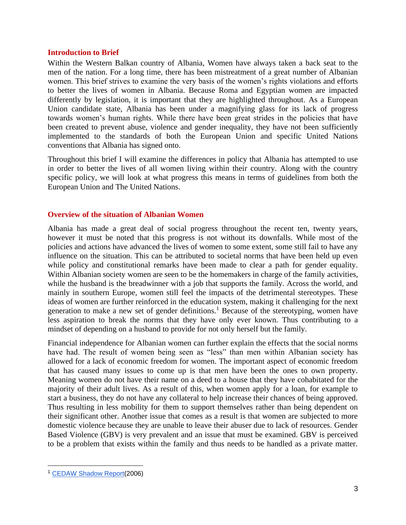#### **Introduction to Brief**

Within the Western Balkan country of Albania, Women have always taken a back seat to the men of the nation. For a long time, there has been mistreatment of a great number of Albanian women. This brief strives to examine the very basis of the women's rights violations and efforts to better the lives of women in Albania. Because Roma and Egyptian women are impacted differently by legislation, it is important that they are highlighted throughout. As a European Union candidate state, Albania has been under a magnifying glass for its lack of progress towards women's human rights. While there have been great strides in the policies that have been created to prevent abuse, violence and gender inequality, they have not been sufficiently implemented to the standards of both the European Union and specific United Nations conventions that Albania has signed onto.

Throughout this brief I will examine the differences in policy that Albania has attempted to use in order to better the lives of all women living within their country. Along with the country specific policy, we will look at what progress this means in terms of guidelines from both the European Union and The United Nations.

## **Overview of the situation of Albanian Women**

Albania has made a great deal of social progress throughout the recent ten, twenty years, however it must be noted that this progress is not without its downfalls. While most of the policies and actions have advanced the lives of women to some extent, some still fail to have any influence on the situation. This can be attributed to societal norms that have been held up even while policy and constitutional remarks have been made to clear a path for gender equality. Within Albanian society women are seen to be the homemakers in charge of the family activities, while the husband is the breadwinner with a job that supports the family. Across the world, and mainly in southern Europe, women still feel the impacts of the detrimental stereotypes. These ideas of women are further reinforced in the education system, making it challenging for the next generation to make a new set of gender definitions.<sup>1</sup> Because of the stereotyping, women have less aspiration to break the norms that they have only ever known. Thus contributing to a mindset of depending on a husband to provide for not only herself but the family.

Financial independence for Albanian women can further explain the effects that the social norms have had. The result of women being seen as "less" than men within Albanian society has allowed for a lack of economic freedom for women. The important aspect of economic freedom that has caused many issues to come up is that men have been the ones to own property. Meaning women do not have their name on a deed to a house that they have cohabitated for the majority of their adult lives. As a result of this, when women apply for a loan, for example to start a business, they do not have any collateral to help increase their chances of being approved. Thus resulting in less mobility for them to support themselves rather than being dependent on their significant other. Another issue that comes as a result is that women are subjected to more domestic violence because they are unable to leave their abuser due to lack of resources. Gender Based Violence (GBV) is very prevalent and an issue that must be examined. GBV is perceived to be a problem that exists within the family and thus needs to be handled as a private matter.

<sup>1</sup> [CEDAW Shadow Report\(](https://tbinternet.ohchr.org/Treaties/CEDAW/Shared%20Documents/ALB/INT_CEDAW_NGO_ALB_46_7925_E.pdf)2006)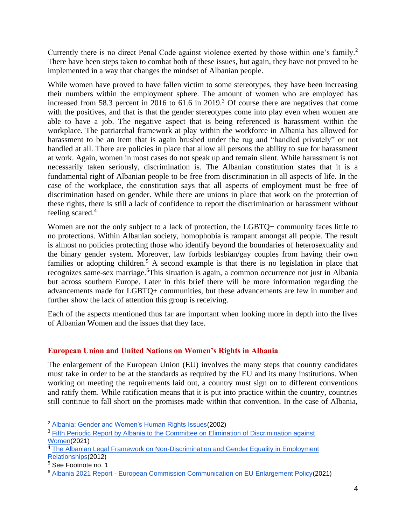Currently there is no direct Penal Code against violence exerted by those within one's family.<sup>2</sup> There have been steps taken to combat both of these issues, but again, they have not proved to be implemented in a way that changes the mindset of Albanian people.

While women have proved to have fallen victim to some stereotypes, they have been increasing their numbers within the employment sphere. The amount of women who are employed has increased from 58.3 percent in 2016 to  $61.6$  in 2019.<sup>3</sup> Of course there are negatives that come with the positives, and that is that the gender stereotypes come into play even when women are able to have a job. The negative aspect that is being referenced is harassment within the workplace. The patriarchal framework at play within the workforce in Albania has allowed for harassment to be an item that is again brushed under the rug and "handled privately" or not handled at all. There are policies in place that allow all persons the ability to sue for harassment at work. Again, women in most cases do not speak up and remain silent. While harassment is not necessarily taken seriously, discrimination is. The Albanian constitution states that it is a fundamental right of Albanian people to be free from discrimination in all aspects of life. In the case of the workplace, the constitution says that all aspects of employment must be free of discrimination based on gender. While there are unions in place that work on the protection of these rights, there is still a lack of confidence to report the discrimination or harassment without feeling scared.<sup>4</sup>

Women are not the only subject to a lack of protection, the LGBTO+ community faces little to no protections. Within Albanian society, homophobia is rampant amongst all people. The result is almost no policies protecting those who identify beyond the boundaries of heterosexuality and the binary gender system. Moreover, law forbids lesbian/gay couples from having their own families or adopting children.<sup>5</sup> A second example is that there is no legislation in place that recognizes same-sex marriage.<sup>6</sup>This situation is again, a common occurrence not just in Albania but across southern Europe. Later in this brief there will be more information regarding the advancements made for LGBTQ+ communities, but these advancements are few in number and further show the lack of attention this group is receiving.

Each of the aspects mentioned thus far are important when looking more in depth into the lives of Albanian Women and the issues that they face.

# **European Union and United Nations on Women's Rights in Albania**

The enlargement of the European Union (EU) involves the many steps that country candidates must take in order to be at the standards as required by the EU and its many institutions. When working on meeting the requirements laid out, a country must sign on to different conventions and ratify them. While ratification means that it is put into practice within the country, countries still continue to fall short on the promises made within that convention. In the case of Albania,

<sup>2</sup> [Albania: Gender and Women's Human Rights Issues\(](https://www.proquest.com/docview/236984367?parentSessionId=C1WBV277shbk0SSbNVDML4pFBuFgHBSIKZgozA1ropg%3D&pq-origsite=primo&accountid=14586)2002)

<sup>&</sup>lt;sup>3</sup> Fifth Periodic Report by Albania to the Committee on Elimination of Discrimination against [Women\(](https://docstore.ohchr.org/SelfServices/FilesHandler.ashx?enc=6QkG1d%2fPPRiCAqhKb7yhsgcjdm0xgERNaIXh22nhTUlZo7a5mUhHsmx2ZdVC92cKdFE%2bauMKDt1brpt751F2cl29KUleHhqxWuq7MTg2dMcV1xLf3B%2f7bABX3PQAQWk%2f)2021)

<sup>4</sup> [The Albanian Legal Framework on Non-Discrimination and Gender Equality in Employment](https://academicus.edu.al/nr5/Academicus-MMXII-5-131-142.pdf)  [Relationships\(](https://academicus.edu.al/nr5/Academicus-MMXII-5-131-142.pdf)2012)

<sup>5</sup> See Footnote no. 1

<sup>6</sup> Albania 2021 Report - [European Commission Communication on EU Enlargement Policy\(](https://ec.europa.eu/neighbourhood-enlargement/document/download/7532fb68-5bd9-4620-ae9c-1df47d34b919_en?filename=Albania-Report-2021.pdf)2021)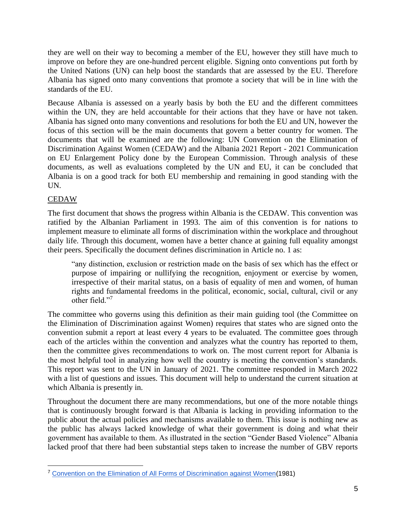they are well on their way to becoming a member of the EU, however they still have much to improve on before they are one-hundred percent eligible. Signing onto conventions put forth by the United Nations (UN) can help boost the standards that are assessed by the EU. Therefore Albania has signed onto many conventions that promote a society that will be in line with the standards of the EU.

Because Albania is assessed on a yearly basis by both the EU and the different committees within the UN, they are held accountable for their actions that they have or have not taken. Albania has signed onto many conventions and resolutions for both the EU and UN, however the focus of this section will be the main documents that govern a better country for women. The documents that will be examined are the following: UN Convention on the Elimination of Discrimination Against Women (CEDAW) and the Albania 2021 Report - 2021 Communication on EU Enlargement Policy done by the European Commission. Through analysis of these documents, as well as evaluations completed by the UN and EU, it can be concluded that Albania is on a good track for both EU membership and remaining in good standing with the UN.

# CEDAW

The first document that shows the progress within Albania is the CEDAW. This convention was ratified by the Albanian Parliament in 1993. The aim of this convention is for nations to implement measure to eliminate all forms of discrimination within the workplace and throughout daily life. Through this document, women have a better chance at gaining full equality amongst their peers. Specifically the document defines discrimination in Article no. 1 as:

"any distinction, exclusion or restriction made on the basis of sex which has the effect or purpose of impairing or nullifying the recognition, enjoyment or exercise by women, irrespective of their marital status, on a basis of equality of men and women, of human rights and fundamental freedoms in the political, economic, social, cultural, civil or any other field."<sup>7</sup>

The committee who governs using this definition as their main guiding tool (the Committee on the Elimination of Discrimination against Women) requires that states who are signed onto the convention submit a report at least every 4 years to be evaluated. The committee goes through each of the articles within the convention and analyzes what the country has reported to them, then the committee gives recommendations to work on. The most current report for Albania is the most helpful tool in analyzing how well the country is meeting the convention's standards. This report was sent to the UN in January of 2021. The committee responded in March 2022 with a list of questions and issues. This document will help to understand the current situation at which Albania is presently in.

Throughout the document there are many recommendations, but one of the more notable things that is continuously brought forward is that Albania is lacking in providing information to the public about the actual policies and mechanisms available to them. This issue is nothing new as the public has always lacked knowledge of what their government is doing and what their government has available to them. As illustrated in the section "Gender Based Violence" Albania lacked proof that there had been substantial steps taken to increase the number of GBV reports

<sup>7</sup> [Convention on the Elimination of All Forms of Discrimination against Women\(](https://www.ohchr.org/en/instruments-mechanisms/instruments/convention-elimination-all-forms-discrimination-against-women)1981)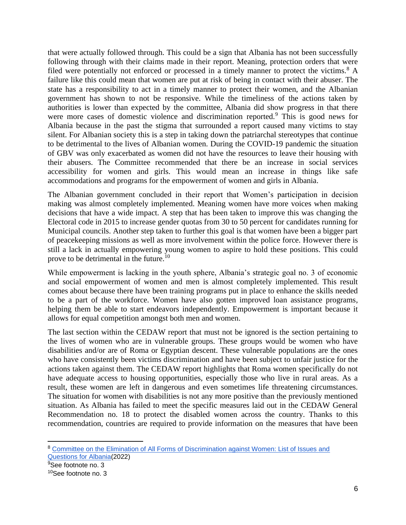that were actually followed through. This could be a sign that Albania has not been successfully following through with their claims made in their report. Meaning, protection orders that were filed were potentially not enforced or processed in a timely manner to protect the victims.<sup>8</sup> A failure like this could mean that women are put at risk of being in contact with their abuser. The state has a responsibility to act in a timely manner to protect their women, and the Albanian government has shown to not be responsive. While the timeliness of the actions taken by authorities is lower than expected by the committee, Albania did show progress in that there were more cases of domestic violence and discrimination reported.<sup>9</sup> This is good news for Albania because in the past the stigma that surrounded a report caused many victims to stay silent. For Albanian society this is a step in taking down the patriarchal stereotypes that continue to be detrimental to the lives of Albanian women. During the COVID-19 pandemic the situation of GBV was only exacerbated as women did not have the resources to leave their housing with their abusers. The Committee recommended that there be an increase in social services accessibility for women and girls. This would mean an increase in things like safe accommodations and programs for the empowerment of women and girls in Albania.

The Albanian government concluded in their report that Women's participation in decision making was almost completely implemented. Meaning women have more voices when making decisions that have a wide impact. A step that has been taken to improve this was changing the Electoral code in 2015 to increase gender quotas from 30 to 50 percent for candidates running for Municipal councils. Another step taken to further this goal is that women have been a bigger part of peacekeeping missions as well as more involvement within the police force. However there is still a lack in actually empowering young women to aspire to hold these positions. This could prove to be detrimental in the future.<sup>10</sup>

While empowerment is lacking in the youth sphere, Albania's strategic goal no. 3 of economic and social empowerment of women and men is almost completely implemented. This result comes about because there have been training programs put in place to enhance the skills needed to be a part of the workforce. Women have also gotten improved loan assistance programs, helping them be able to start endeavors independently. Empowerment is important because it allows for equal competition amongst both men and women.

The last section within the CEDAW report that must not be ignored is the section pertaining to the lives of women who are in vulnerable groups. These groups would be women who have disabilities and/or are of Roma or Egyptian descent. These vulnerable populations are the ones who have consistently been victims discrimination and have been subject to unfair justice for the actions taken against them. The CEDAW report highlights that Roma women specifically do not have adequate access to housing opportunities, especially those who live in rural areas. As a result, these women are left in dangerous and even sometimes life threatening circumstances. The situation for women with disabilities is not any more positive than the previously mentioned situation. As Albania has failed to meet the specific measures laid out in the CEDAW General Recommendation no. 18 to protect the disabled women across the country. Thanks to this recommendation, countries are required to provide information on the measures that have been

<sup>&</sup>lt;sup>8</sup> Committee on the Elimination of All Forms of Discrimination against Women: List of Issues and [Questions for Albania\(](https://docstore.ohchr.org/SelfServices/FilesHandler.ashx?enc=6QkG1d%2fPPRiCAqhKb7yhsgcjdm0xgERNaIXh22nhTUnwj%2fll%2flJiqZA9CrtC1E7Xmc8%2f34FAUvl%2bm4HFaUqg5cemv3e0%2fp1JusHwBUL99%2beyB9S9rtxTwrb2dYulRMK5)2022)

<sup>&</sup>lt;sup>9</sup>See footnote no. 3

<sup>10</sup>See footnote no. 3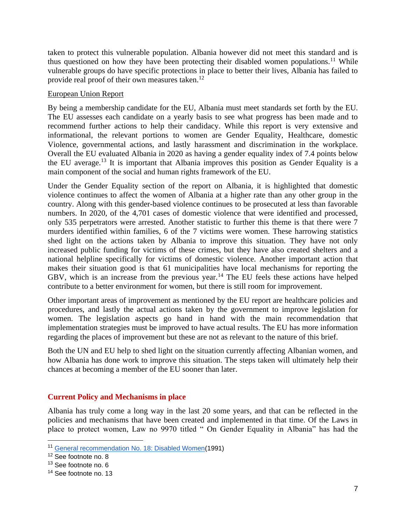taken to protect this vulnerable population. Albania however did not meet this standard and is thus questioned on how they have been protecting their disabled women populations.<sup>11</sup> While vulnerable groups do have specific protections in place to better their lives, Albania has failed to provide real proof of their own measures taken.<sup>12</sup>

## European Union Report

By being a membership candidate for the EU, Albania must meet standards set forth by the EU. The EU assesses each candidate on a yearly basis to see what progress has been made and to recommend further actions to help their candidacy. While this report is very extensive and informational, the relevant portions to women are Gender Equality, Healthcare, domestic Violence, governmental actions, and lastly harassment and discrimination in the workplace. Overall the EU evaluated Albania in 2020 as having a gender equality index of 7.4 points below the EU average.<sup>13</sup> It is important that Albania improves this position as Gender Equality is a main component of the social and human rights framework of the EU.

Under the Gender Equality section of the report on Albania, it is highlighted that domestic violence continues to affect the women of Albania at a higher rate than any other group in the country. Along with this gender-based violence continues to be prosecuted at less than favorable numbers. In 2020, of the 4,701 cases of domestic violence that were identified and processed, only 535 perpetrators were arrested. Another statistic to further this theme is that there were 7 murders identified within families, 6 of the 7 victims were women. These harrowing statistics shed light on the actions taken by Albania to improve this situation. They have not only increased public funding for victims of these crimes, but they have also created shelters and a national helpline specifically for victims of domestic violence. Another important action that makes their situation good is that 61 municipalities have local mechanisms for reporting the GBV, which is an increase from the previous year.<sup>14</sup> The EU feels these actions have helped contribute to a better environment for women, but there is still room for improvement.

Other important areas of improvement as mentioned by the EU report are healthcare policies and procedures, and lastly the actual actions taken by the government to improve legislation for women. The legislation aspects go hand in hand with the main recommendation that implementation strategies must be improved to have actual results. The EU has more information regarding the places of improvement but these are not as relevant to the nature of this brief.

Both the UN and EU help to shed light on the situation currently affecting Albanian women, and how Albania has done work to improve this situation. The steps taken will ultimately help their chances at becoming a member of the EU sooner than later.

# **Current Policy and Mechanisms in place**

Albania has truly come a long way in the last 20 some years, and that can be reflected in the policies and mechanisms that have been created and implemented in that time. Of the Laws in place to protect women, Law no 9970 titled " On Gender Equality in Albania" has had the

<sup>11</sup> [General recommendation No. 18: Disabled Women\(](https://tbinternet.ohchr.org/Treaties/CEDAW/Shared%20Documents/1_Global/INT_CEDAW_GEC_4729_E.pdf)1991)

<sup>12</sup> See footnote no. 8

<sup>&</sup>lt;sup>13</sup> See footnote no. 6

<sup>&</sup>lt;sup>14</sup> See footnote no. 13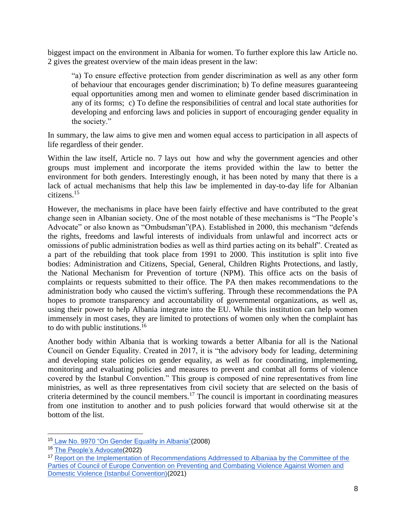biggest impact on the environment in Albania for women. To further explore this law Article no. 2 gives the greatest overview of the main ideas present in the law:

"a) To ensure effective protection from gender discrimination as well as any other form of behaviour that encourages gender discrimination; b) To define measures guaranteeing equal opportunities among men and women to eliminate gender based discrimination in any of its forms; c) To define the responsibilities of central and local state authorities for developing and enforcing laws and policies in support of encouraging gender equality in the society."

In summary, the law aims to give men and women equal access to participation in all aspects of life regardless of their gender.

Within the law itself, Article no. 7 lays out how and why the government agencies and other groups must implement and incorporate the items provided within the law to better the environment for both genders. Interestingly enough, it has been noted by many that there is a lack of actual mechanisms that help this law be implemented in day-to-day life for Albanian citizens.<sup>15</sup>

However, the mechanisms in place have been fairly effective and have contributed to the great change seen in Albanian society. One of the most notable of these mechanisms is "The People's Advocate" or also known as "Ombudsman"(PA). Established in 2000, this mechanism "defends the rights, freedoms and lawful interests of individuals from unlawful and incorrect acts or omissions of public administration bodies as well as third parties acting on its behalf". Created as a part of the rebuilding that took place from 1991 to 2000. This institution is split into five bodies: Administration and Citizens, Special, General, Children Rights Protections, and lastly, the National Mechanism for Prevention of torture (NPM). This office acts on the basis of complaints or requests submitted to their office. The PA then makes recommendations to the administration body who caused the victim's suffering. Through these recommendations the PA hopes to promote transparency and accountability of governmental organizations, as well as, using their power to help Albania integrate into the EU. While this institution can help women immensely in most cases, they are limited to protections of women only when the complaint has to do with public institutions.<sup>16</sup>

Another body within Albania that is working towards a better Albania for all is the National Council on Gender Equality. Created in 2017, it is "the advisory body for leading, determining and developing state policies on gender equality, as well as for coordinating, implementing, monitoring and evaluating policies and measures to prevent and combat all forms of violence covered by the Istanbul Convention." This group is composed of nine representatives from line ministries, as well as three representatives from civil society that are selected on the basis of criteria determined by the council members.<sup>17</sup> The council is important in coordinating measures from one institution to another and to push policies forward that would otherwise sit at the bottom of the list.

<sup>15</sup> [Law No. 9970 "On Gender Equality in Albania"\(](https://www.legislationline.org/documents/id/16425#:~:text=This%20law%20regulates%20fundamental%20issues,advancement%20of%20all%20social%20spheres.)2008)

<sup>16</sup> [The People's Advocate\(](https://ennhri.org/our-members/albania/)2022)

<sup>&</sup>lt;sup>17</sup> Report on the Implementation of Recommendations Addrressed to Albaniaa by the Committee of the Parties [of Council of Europe Convention on Preventing and Combating Violence Against Women and](https://rm.coe.int/albania-report-on-the-implementation-of-the-reccomendations-from-cp-ic/1680a30d7f)  [Domestic Violence \(Istanbul Convention\)\(](https://rm.coe.int/albania-report-on-the-implementation-of-the-reccomendations-from-cp-ic/1680a30d7f)2021)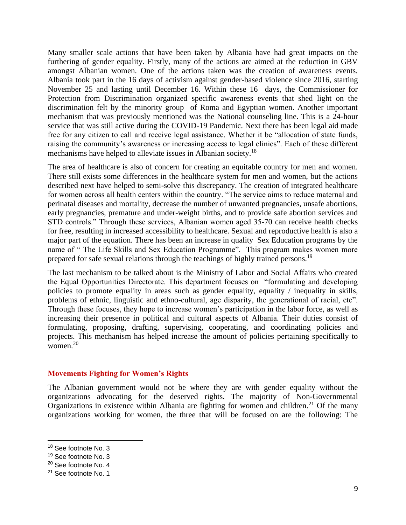Many smaller scale actions that have been taken by Albania have had great impacts on the furthering of gender equality. Firstly, many of the actions are aimed at the reduction in GBV amongst Albanian women. One of the actions taken was the creation of awareness events. Albania took part in the 16 days of activism against gender-based violence since 2016, starting November 25 and lasting until December 16. Within these 16 days, the Commissioner for Protection from Discrimination organized specific awareness events that shed light on the discrimination felt by the minority group of Roma and Egyptian women. Another important mechanism that was previously mentioned was the National counseling line. This is a 24-hour service that was still active during the COVID-19 Pandemic. Next there has been legal aid made free for any citizen to call and receive legal assistance. Whether it be "allocation of state funds, raising the community's awareness or increasing access to legal clinics". Each of these different mechanisms have helped to alleviate issues in Albanian society.<sup>18</sup>

The area of healthcare is also of concern for creating an equitable country for men and women. There still exists some differences in the healthcare system for men and women, but the actions described next have helped to semi-solve this discrepancy. The creation of integrated healthcare for women across all health centers within the country. "The service aims to reduce maternal and perinatal diseases and mortality, decrease the number of unwanted pregnancies, unsafe abortions, early pregnancies, premature and under-weight births, and to provide safe abortion services and STD controls." Through these services, Albanian women aged 35-70 can receive health checks for free, resulting in increased accessibility to healthcare. Sexual and reproductive health is also a major part of the equation. There has been an increase in quality Sex Education programs by the name of " The Life Skills and Sex Education Programme". This program makes women more prepared for safe sexual relations through the teachings of highly trained persons.<sup>19</sup>

The last mechanism to be talked about is the Ministry of Labor and Social Affairs who created the Equal Opportunities Directorate. This department focuses on "formulating and developing policies to promote equality in areas such as gender equality, equality / inequality in skills, problems of ethnic, linguistic and ethno-cultural, age disparity, the generational of racial, etc". Through these focuses, they hope to increase women's participation in the labor force, as well as increasing their presence in political and cultural aspects of Albania. Their duties consist of formulating, proposing, drafting, supervising, cooperating, and coordinating policies and projects. This mechanism has helped increase the amount of policies pertaining specifically to women. $20$ 

## **Movements Fighting for Women's Rights**

The Albanian government would not be where they are with gender equality without the organizations advocating for the deserved rights. The majority of Non-Governmental Organizations in existence within Albania are fighting for women and children.<sup>21</sup> Of the many organizations working for women, the three that will be focused on are the following: The

<sup>&</sup>lt;sup>18</sup> See footnote No. 3

<sup>&</sup>lt;sup>19</sup> See footnote No. 3

<sup>20</sup> See footnote No. 4

<sup>21</sup> See footnote No. 1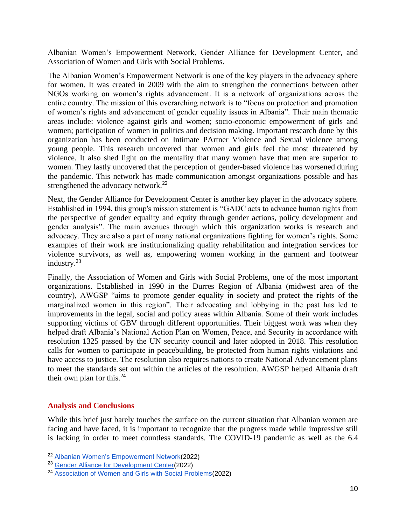Albanian Women's Empowerment Network, Gender Alliance for Development Center, and Association of Women and Girls with Social Problems.

The Albanian Women's Empowerment Network is one of the key players in the advocacy sphere for women. It was created in 2009 with the aim to strengthen the connections between other NGOs working on women's rights advancement. It is a network of organizations across the entire country. The mission of this overarching network is to "focus on protection and promotion of women's rights and advancement of gender equality issues in Albania". Their main thematic areas include: violence against girls and women; socio-economic empowerment of girls and women; participation of women in politics and decision making. Important research done by this organization has been conducted on Intimate PArtner Violence and Sexual violence among young people. This research uncovered that women and girls feel the most threatened by violence. It also shed light on the mentality that many women have that men are superior to women. They lastly uncovered that the perception of gender-based violence has worsened during the pandemic. This network has made communication amongst organizations possible and has strengthened the advocacy network. $^{22}$ 

Next, the Gender Alliance for Development Center is another key player in the advocacy sphere. Established in 1994, this group's mission statement is "GADC acts to advance human rights from the perspective of gender equality and equity through gender actions, policy development and gender analysis". The main avenues through which this organization works is research and advocacy. They are also a part of many national organizations fighting for women's rights. Some examples of their work are institutionalizing quality rehabilitation and integration services for violence survivors, as well as, empowering women working in the garment and footwear industry.<sup>23</sup>

Finally, the Association of Women and Girls with Social Problems, one of the most important organizations. Established in 1990 in the Durres Region of Albania (midwest area of the country), AWGSP "aims to promote gender equality in society and protect the rights of the marginalized women in this region". Their advocating and lobbying in the past has led to improvements in the legal, social and policy areas within Albania. Some of their work includes supporting victims of GBV through different opportunities. Their biggest work was when they helped draft Albania's National Action Plan on Women, Peace, and Security in accordance with resolution 1325 passed by the UN security council and later adopted in 2018. This resolution calls for women to participate in peacebuilding, be protected from human rights violations and have access to justice. The resolution also requires nations to create National Advancement plans to meet the standards set out within the articles of the resolution. AWGSP helped Albania draft their own plan for this. $24$ 

## **Analysis and Conclusions**

While this brief just barely touches the surface on the current situation that Albanian women are facing and have faced, it is important to recognize that the progress made while impressive still is lacking in order to meet countless standards. The COVID-19 pandemic as well as the 6.4

<sup>22</sup> [Albanian Women's Empowerment Network\(](https://awenetwork.org/?lang=en)2022)

<sup>23</sup> [Gender Alliance for Development Center\(](https://www.gadc.org.al/)2022)

<sup>24</sup> [Association of Women and Girls with Social Problems\(](http://www.siguria-paqja.al/?q=en)2022)